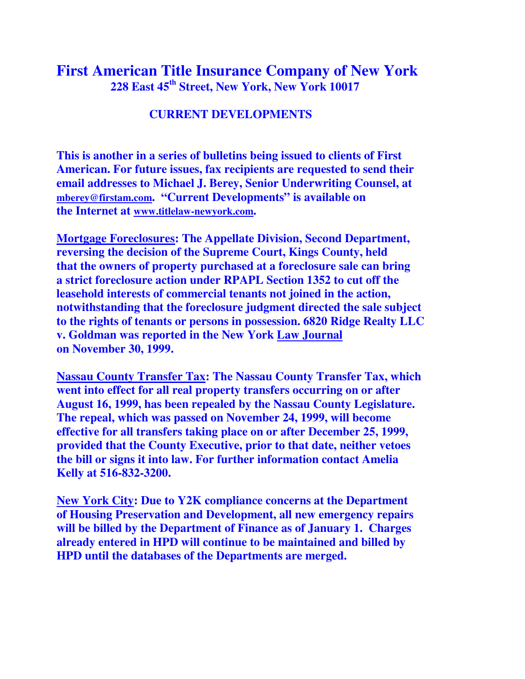## **First American Title Insurance Company of New York 228 East 45th Street, New York, New York 10017**

## **CURRENT DEVELOPMENTS**

**This is another in a series of bulletins being issued to clients of First American. For future issues, fax recipients are requested to send their email addresses to Michael J. Berey, Senior Underwriting Counsel, at mberey@firstam.com. "Current Developments" is available on the Internet at www.titlelaw-newyork.com.** 

**Mortgage Foreclosures: The Appellate Division, Second Department, reversing the decision of the Supreme Court, Kings County, held that the owners of property purchased at a foreclosure sale can bring a strict foreclosure action under RPAPL Section 1352 to cut off the leasehold interests of commercial tenants not joined in the action, notwithstanding that the foreclosure judgment directed the sale subject to the rights of tenants or persons in possession. 6820 Ridge Realty LLC v. Goldman was reported in the New York Law Journal on November 30, 1999.** 

**Nassau County Transfer Tax: The Nassau County Transfer Tax, which went into effect for all real property transfers occurring on or after August 16, 1999, has been repealed by the Nassau County Legislature. The repeal, which was passed on November 24, 1999, will become effective for all transfers taking place on or after December 25, 1999, provided that the County Executive, prior to that date, neither vetoes the bill or signs it into law. For further information contact Amelia Kelly at 516-832-3200.** 

**New York City: Due to Y2K compliance concerns at the Department of Housing Preservation and Development, all new emergency repairs will be billed by the Department of Finance as of January 1. Charges already entered in HPD will continue to be maintained and billed by HPD until the databases of the Departments are merged.**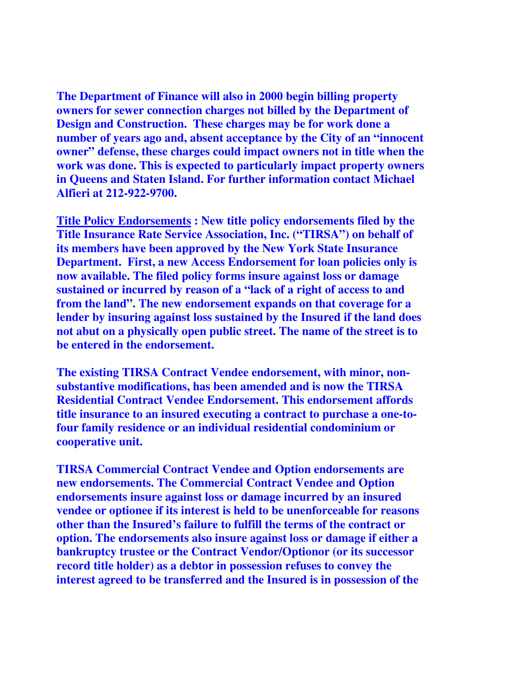**The Department of Finance will also in 2000 begin billing property owners for sewer connection charges not billed by the Department of Design and Construction. These charges may be for work done a number of years ago and, absent acceptance by the City of an "innocent owner" defense, these charges could impact owners not in title when the work was done. This is expected to particularly impact property owners in Queens and Staten Island. For further information contact Michael Alfieri at 212-922-9700.** 

**Title Policy Endorsements : New title policy endorsements filed by the Title Insurance Rate Service Association, Inc. ("TIRSA") on behalf of its members have been approved by the New York State Insurance Department. First, a new Access Endorsement for loan policies only is now available. The filed policy forms insure against loss or damage sustained or incurred by reason of a "lack of a right of access to and from the land". The new endorsement expands on that coverage for a lender by insuring against loss sustained by the Insured if the land does not abut on a physically open public street. The name of the street is to be entered in the endorsement.** 

**The existing TIRSA Contract Vendee endorsement, with minor, nonsubstantive modifications, has been amended and is now the TIRSA Residential Contract Vendee Endorsement. This endorsement affords title insurance to an insured executing a contract to purchase a one-tofour family residence or an individual residential condominium or cooperative unit.** 

**TIRSA Commercial Contract Vendee and Option endorsements are new endorsements. The Commercial Contract Vendee and Option endorsements insure against loss or damage incurred by an insured vendee or optionee if its interest is held to be unenforceable for reasons other than the Insured's failure to fulfill the terms of the contract or option. The endorsements also insure against loss or damage if either a bankruptcy trustee or the Contract Vendor/Optionor (or its successor record title holder) as a debtor in possession refuses to convey the interest agreed to be transferred and the Insured is in possession of the**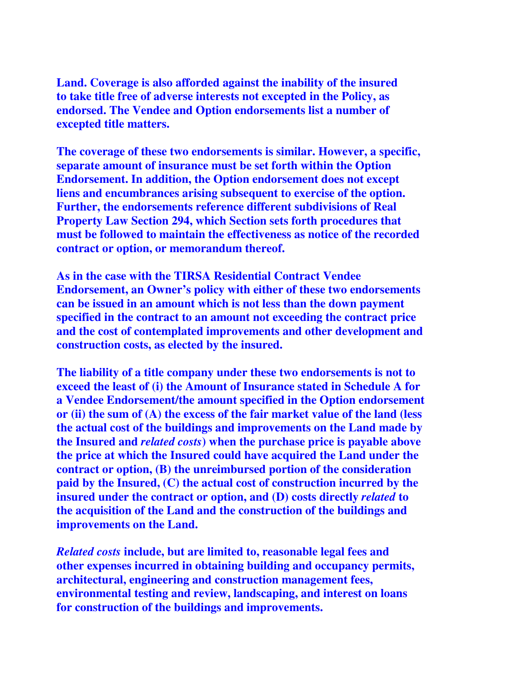**Land. Coverage is also afforded against the inability of the insured to take title free of adverse interests not excepted in the Policy, as endorsed. The Vendee and Option endorsements list a number of excepted title matters.** 

**The coverage of these two endorsements is similar. However, a specific, separate amount of insurance must be set forth within the Option Endorsement. In addition, the Option endorsement does not except liens and encumbrances arising subsequent to exercise of the option. Further, the endorsements reference different subdivisions of Real Property Law Section 294, which Section sets forth procedures that must be followed to maintain the effectiveness as notice of the recorded contract or option, or memorandum thereof.** 

**As in the case with the TIRSA Residential Contract Vendee Endorsement, an Owner's policy with either of these two endorsements can be issued in an amount which is not less than the down payment specified in the contract to an amount not exceeding the contract price and the cost of contemplated improvements and other development and construction costs, as elected by the insured.** 

**The liability of a title company under these two endorsements is not to exceed the least of (i) the Amount of Insurance stated in Schedule A for a Vendee Endorsement/the amount specified in the Option endorsement or (ii) the sum of (A) the excess of the fair market value of the land (less the actual cost of the buildings and improvements on the Land made by the Insured and** *related costs***) when the purchase price is payable above the price at which the Insured could have acquired the Land under the contract or option, (B) the unreimbursed portion of the consideration paid by the Insured, (C) the actual cost of construction incurred by the insured under the contract or option, and (D) costs directly** *related* **to the acquisition of the Land and the construction of the buildings and improvements on the Land.** 

*Related costs* **include, but are limited to, reasonable legal fees and other expenses incurred in obtaining building and occupancy permits, architectural, engineering and construction management fees, environmental testing and review, landscaping, and interest on loans for construction of the buildings and improvements.**